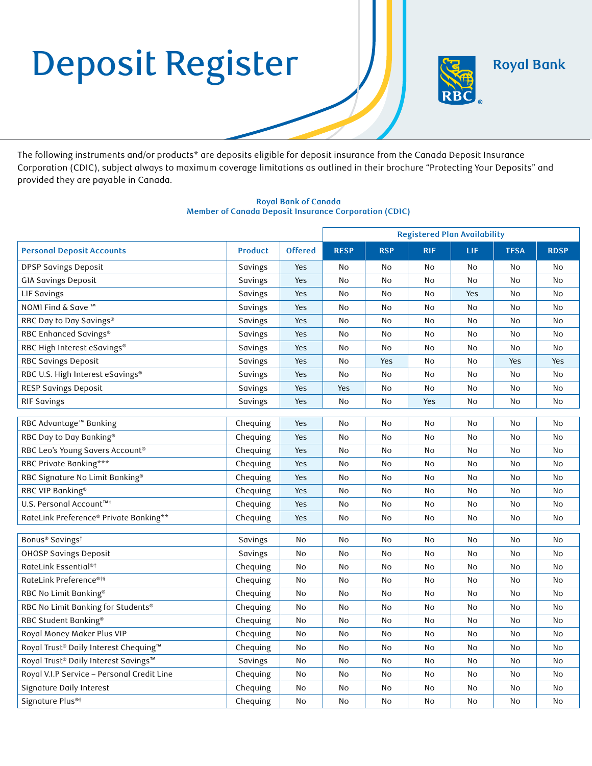# Deposit Register

**Royal Bank** 



The following instruments and/or products\* are deposits eligible for deposit insurance from the Canada Deposit Insurance Corporation (CDIC), subject always to maximum coverage limitations as outlined in their brochure "Protecting Your Deposits" and provided they are payable in Canada.

## **Royal Bank of Canada Member of Canada Deposit Insurance Corporation (CDIC)**

|                                            |                |                | <b>Registered Plan Availability</b> |            |            |     |             |             |
|--------------------------------------------|----------------|----------------|-------------------------------------|------------|------------|-----|-------------|-------------|
| <b>Personal Deposit Accounts</b>           | <b>Product</b> | <b>Offered</b> | <b>RESP</b>                         | <b>RSP</b> | <b>RIF</b> | LIF | <b>TFSA</b> | <b>RDSP</b> |
| <b>DPSP Savings Deposit</b>                | Savings        | Yes            | No                                  | No         | No         | No  | No          | No          |
| <b>GIA Savings Deposit</b>                 | Savings        | Yes            | No                                  | No         | No         | No  | No          | No          |
| LIF Savings                                | Savings        | Yes            | No                                  | No         | No         | Yes | No          | No          |
| NOMI Find & Save ™                         | Savings        | Yes            | No                                  | No         | No         | No  | No          | No          |
| RBC Day to Day Savings®                    | Savings        | Yes            | No                                  | No         | No         | No  | No          | No          |
| RBC Enhanced Savings®                      | Savings        | Yes            | No                                  | No         | No         | No  | No          | No          |
| RBC High Interest eSavings®                | Savings        | Yes            | No                                  | No         | No         | No  | No          | No          |
| RBC Savings Deposit                        | Savings        | Yes            | No                                  | Yes        | No         | No  | Yes         | Yes         |
| RBC U.S. High Interest eSavings®           | Savings        | Yes            | No                                  | No         | No         | No  | No          | No          |
| RESP Savings Deposit                       | Savings        | Yes            | Yes                                 | <b>No</b>  | No         | No  | No          | No          |
| <b>RIF Savings</b>                         | Savings        | Yes            | No                                  | No         | Yes        | No  | No          | No          |
|                                            |                |                |                                     |            |            |     |             |             |
| RBC Advantage™ Banking                     | Chequing       | Yes            | No                                  | No         | No         | No  | No          | No          |
| RBC Day to Day Banking®                    | Chequing       | Yes            | No                                  | No         | No         | No  | No          | No          |
| RBC Leo's Young Savers Account®            | Chequing       | Yes            | No                                  | No         | No         | No  | No          | No          |
| RBC Private Banking***                     | Chequing       | Yes            | No                                  | No         | No         | No  | No          | No          |
| RBC Signature No Limit Banking®            | Chequing       | Yes            | No                                  | No         | No         | No  | No          | No          |
| RBC VIP Banking <sup>®</sup>               | Chequing       | Yes            | No                                  | No         | No         | No  | No          | No          |
| U.S. Personal Account™ <sup>†</sup>        | Chequing       | Yes            | No                                  | No         | No         | No  | No          | No          |
| RateLink Preference® Private Banking**     | Chequing       | Yes            | No                                  | No         | No         | No  | No          | No          |
| Bonus® Savings <sup>†</sup>                | Savings        | No             | No                                  | No         | No         | No  | No          | No          |
| <b>OHOSP Savings Deposit</b>               | Savings        | No             | No                                  | No         | No         | No  | No          | No          |
| RateLink Essential®†                       | Chequing       | No             | No                                  | No         | No         | No  | No          | No          |
| RateLink Preference®†§                     | Chequing       | No             | No                                  | No         | No         | No  | No          | No          |
| RBC No Limit Banking®                      | Chequing       | No             | No                                  | No         | No         | No  | No          | No          |
| RBC No Limit Banking for Students®         | Chequing       | No             | No                                  | No         | No         | No  | No          | No          |
| RBC Student Banking®                       | Chequing       | No             | No                                  | No         | No         | No  | No          | No          |
| Royal Money Maker Plus VIP                 | Chequing       | No             | No                                  | No         | No         | No  | No          | No          |
| Royal Trust® Daily Interest Chequing™      | Chequing       | No             | No                                  | No         | No         | No  | No          | No          |
| Royal Trust® Daily Interest Savings™       | Savings        | No             | No                                  | No         | No         | No  | No          | No          |
| Royal V.I.P Service - Personal Credit Line | Chequing       | No             | No                                  | No         | No         | No  | No          | No          |
| Signature Daily Interest                   | Chequing       | No             | No                                  | No         | No         | No  | No          | No          |
| Signature Plus <sup>®†</sup>               | Chequing       | No             | No                                  | No         | No         | No  | No          | No          |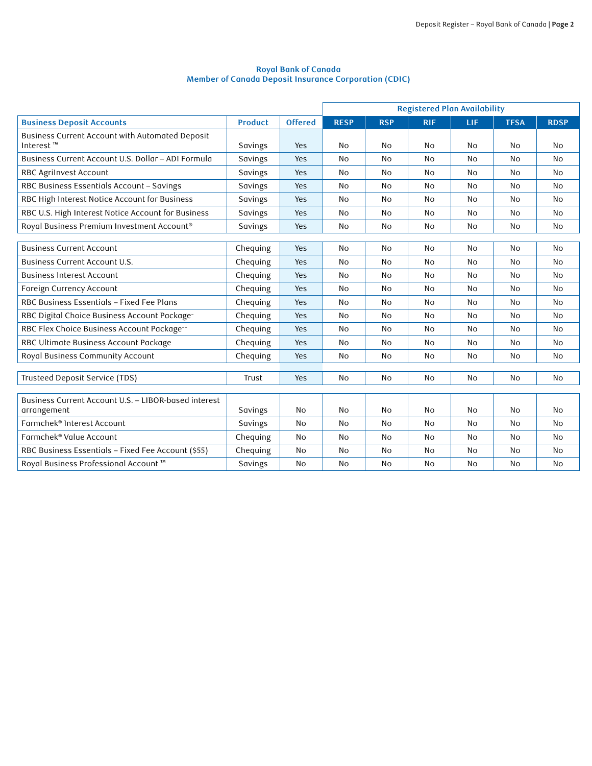#### **Royal Bank of Canada Member of Canada Deposit Insurance Corporation (CDIC)**

|                                                                          |                |                | <b>Registered Plan Availability</b> |            |            |           |             |                |
|--------------------------------------------------------------------------|----------------|----------------|-------------------------------------|------------|------------|-----------|-------------|----------------|
| <b>Business Deposit Accounts</b>                                         | <b>Product</b> | <b>Offered</b> | <b>RESP</b>                         | <b>RSP</b> | <b>RIF</b> | LIF       | <b>TFSA</b> | <b>RDSP</b>    |
| Business Current Account with Automated Deposit<br>Interest <sup>™</sup> | Savings        | Yes            | No                                  | <b>No</b>  | <b>No</b>  | No.       | No          | No             |
| Business Current Account U.S. Dollar - ADI Formula                       | Savings        | Yes            | <b>No</b>                           | <b>No</b>  | <b>No</b>  | No        | <b>No</b>   | N <sub>0</sub> |
| RBC Agrilnvest Account                                                   | Savings        | Yes            | No                                  | No         | <b>No</b>  | No        | No          | <b>No</b>      |
| RBC Business Essentials Account - Savings                                | Savings        | Yes            | <b>No</b>                           | <b>No</b>  | No         | No.       | <b>No</b>   | <b>No</b>      |
| RBC High Interest Notice Account for Business                            | Savings        | Yes            | <b>No</b>                           | <b>No</b>  | <b>No</b>  | No        | <b>No</b>   | <b>No</b>      |
| RBC U.S. High Interest Notice Account for Business                       | Savings        | Yes            | <b>No</b>                           | No         | <b>No</b>  | No        | No          | <b>No</b>      |
| Royal Business Premium Investment Account®                               | Savings        | Yes            | No                                  | No         | No         | No        | No          | No             |
|                                                                          |                |                |                                     |            |            |           |             |                |
| <b>Business Current Account</b>                                          | Chequing       | Yes            | No                                  | <b>No</b>  | <b>No</b>  | <b>No</b> | <b>No</b>   | <b>No</b>      |
| <b>Business Current Account U.S.</b>                                     | Chequing       | Yes            | <b>No</b>                           | <b>No</b>  | No         | No        | <b>No</b>   | <b>No</b>      |
| <b>Business Interest Account</b>                                         | Chequing       | Yes            | No                                  | No         | No         | No        | No          | No             |
| Foreign Currency Account                                                 | Chequing       | Yes            | <b>No</b>                           | <b>No</b>  | <b>No</b>  | <b>No</b> | <b>No</b>   | <b>No</b>      |
| RBC Business Essentials - Fixed Fee Plans                                | Chequing       | Yes            | <b>No</b>                           | No         | <b>No</b>  | No        | No          | <b>No</b>      |
| RBC Digital Choice Business Account Package-                             | Chequing       | Yes            | <b>No</b>                           | <b>No</b>  | <b>No</b>  | No        | <b>No</b>   | <b>No</b>      |
| RBC Flex Choice Business Account Package-                                | Chequing       | Yes            | <b>No</b>                           | No         | <b>No</b>  | No        | <b>No</b>   | <b>No</b>      |
| RBC Ultimate Business Account Package                                    | Chequing       | Yes            | <b>No</b>                           | <b>No</b>  | <b>No</b>  | <b>No</b> | <b>No</b>   | <b>No</b>      |
| Royal Business Community Account                                         | Chequing       | Yes            | <b>No</b>                           | No         | No         | No        | No          | <b>No</b>      |
|                                                                          |                |                |                                     |            |            |           |             |                |
| Trusteed Deposit Service (TDS)                                           | Trust          | Yes            | <b>No</b>                           | <b>No</b>  | <b>No</b>  | <b>No</b> | <b>No</b>   | <b>No</b>      |
| Business Current Account U.S. - LIBOR-based interest<br>arrangement      | Savings        | No             | <b>No</b>                           | <b>No</b>  | <b>No</b>  | No        | <b>No</b>   | <b>No</b>      |
| Farmchek® Interest Account                                               | Savings        | <b>No</b>      | <b>No</b>                           | <b>No</b>  | <b>No</b>  | No        | <b>No</b>   | <b>No</b>      |
| Farmchek® Value Account                                                  | Chequing       | No             | <b>No</b>                           | <b>No</b>  | No         | No        | No          | <b>No</b>      |
| RBC Business Essentials - Fixed Fee Account (\$55)                       | Chequing       | No             | <b>No</b>                           | <b>No</b>  | No         | <b>No</b> | <b>No</b>   | <b>No</b>      |
| Royal Business Professional Account ™                                    | Savings        | No             | No                                  | No         | No         | No        | No          | No             |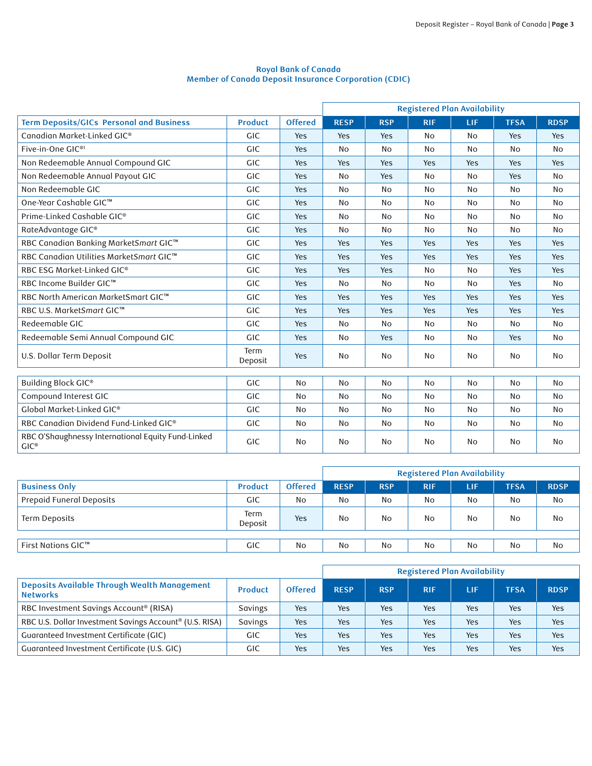### **Royal Bank of Canada Member of Canada Deposit Insurance Corporation (CDIC)**

|                                                                       |                 |                | <b>Registered Plan Availability</b> |                |            |                |             |                |
|-----------------------------------------------------------------------|-----------------|----------------|-------------------------------------|----------------|------------|----------------|-------------|----------------|
| <b>Term Deposits/GICs Personal and Business</b>                       | <b>Product</b>  | <b>Offered</b> | <b>RESP</b>                         | <b>RSP</b>     | <b>RIF</b> | LIF.           | <b>TFSA</b> | <b>RDSP</b>    |
| Canadian Market-Linked GIC®                                           | GIC             | Yes            | Yes                                 | Yes            | <b>No</b>  | No             | Yes         | Yes            |
| Five-in-One GIC <sup>®1</sup>                                         | <b>GIC</b>      | Yes            | No                                  | <b>No</b>      | No         | No             | <b>No</b>   | <b>No</b>      |
| Non Redeemable Annual Compound GIC                                    | GIC             | Yes            | Yes                                 | Yes            | Yes        | Yes            | Yes         | <b>Yes</b>     |
| Non Redeemable Annual Payout GIC                                      | <b>GIC</b>      | Yes            | No                                  | Yes            | No         | No             | Yes         | <b>No</b>      |
| Non Redeemable GIC                                                    | GIC             | Yes            | No                                  | <b>No</b>      | No         | No             | No          | <b>No</b>      |
| One-Year Cashable GIC™                                                | <b>GIC</b>      | Yes            | No                                  | <b>No</b>      | <b>No</b>  | <b>No</b>      | <b>No</b>   | <b>No</b>      |
| Prime-Linked Cashable GIC®                                            | <b>GIC</b>      | Yes            | No                                  | No             | No         | No             | No          | <b>No</b>      |
| RateAdvantage GIC®                                                    | GIC             | Yes            | No                                  | No             | No         | No             | No          | <b>No</b>      |
| RBC Canadian Banking MarketSmart GIC™                                 | GIC             | Yes            | Yes                                 | Yes            | Yes        | Yes            | Yes         | Yes            |
| RBC Canadian Utilities MarketSmart GIC™                               | <b>GIC</b>      | Yes            | Yes                                 | Yes            | Yes        | Yes            | Yes         | Yes            |
| RBC ESG Market-Linked GIC®                                            | <b>GIC</b>      | Yes            | Yes                                 | Yes            | <b>No</b>  | No             | Yes         | Yes            |
| RBC Income Builder GIC™                                               | <b>GIC</b>      | Yes            | No                                  | <b>No</b>      | No         | No             | Yes         | <b>No</b>      |
| RBC North American MarketSmart GIC™                                   | GIC             | Yes            | Yes                                 | Yes            | Yes        | Yes            | Yes         | Yes            |
| RBC U.S. MarketSmart GIC™                                             | <b>GIC</b>      | Yes            | Yes                                 | Yes            | Yes        | Yes            | Yes         | Yes            |
| Redeemable GIC                                                        | <b>GIC</b>      | Yes            | <b>No</b>                           | <b>No</b>      | <b>No</b>  | <b>No</b>      | <b>No</b>   | <b>No</b>      |
| Redeemable Semi Annual Compound GIC                                   | <b>GIC</b>      | Yes            | No                                  | Yes            | <b>No</b>  | No             | Yes         | <b>No</b>      |
| U.S. Dollar Term Deposit                                              | Term<br>Deposit | Yes            | No                                  | No             | No         | No             | No          | No             |
| Building Block GIC®                                                   | <b>GIC</b>      | <b>No</b>      | No                                  | <b>No</b>      | <b>No</b>  | <b>No</b>      | <b>No</b>   | <b>No</b>      |
| Compound Interest GIC                                                 | <b>GIC</b>      | <b>No</b>      | N <sub>O</sub>                      | <b>No</b>      | No         | N <sub>0</sub> | <b>No</b>   | <b>No</b>      |
| Global Market-Linked GIC®                                             | GIC             | <b>No</b>      | No                                  | N <sub>0</sub> | No         | N <sub>0</sub> | <b>No</b>   | N <sub>0</sub> |
| RBC Canadian Dividend Fund-Linked GIC®                                | GIC             | No             | No                                  | No             | No         | No             | No          | No             |
| RBC O'Shaughnessy International Equity Fund-Linked<br>$GIC^{\otimes}$ | GIC             | No             | No                                  | No             | <b>No</b>  | No             | No          | No             |

|                          |                 |                | <b>Registered Plan Availability</b> |            |            |     |             |             |
|--------------------------|-----------------|----------------|-------------------------------------|------------|------------|-----|-------------|-------------|
| <b>Business Only</b>     | <b>Product</b>  | <b>Offered</b> | <b>RESP</b>                         | <b>RSP</b> | <b>RIF</b> | LIF | <b>TFSA</b> | <b>RDSP</b> |
| Prepaid Funeral Deposits | GIC             | No             | No                                  | No         | No         | No  | No          | No          |
| Term Deposits            | Term<br>Deposit | Yes            | No                                  | No         | <b>No</b>  | No  | No          | <b>No</b>   |
|                          |                 |                |                                     |            |            |     |             |             |
| First Nations GIC™       | GIC             | No             | No                                  | No         | No         | No  | No          | No          |

|                                                                        |                |                | <b>Registered Plan Availability</b> |            |            |     |             |             |
|------------------------------------------------------------------------|----------------|----------------|-------------------------------------|------------|------------|-----|-------------|-------------|
| <b>Deposits Available Through Wealth Management</b><br><b>Networks</b> | <b>Product</b> | <b>Offered</b> | <b>RESP</b>                         | <b>RSP</b> | <b>RIF</b> | LIF | <b>TFSA</b> | <b>RDSP</b> |
| RBC Investment Savings Account® (RISA)                                 | Savings        | Yes            | Yes                                 | Yes        | Yes        | Yes | Yes         | Yes         |
| RBC U.S. Dollar Investment Savings Account® (U.S. RISA)                | Savings        | <b>Yes</b>     | Yes                                 | Yes        | Yes        | Yes | Yes         | <b>Yes</b>  |
| Guaranteed Investment Certificate (GIC)                                | GIC.           | <b>Yes</b>     | Yes                                 | Yes        | Yes        | Yes | Yes         | Yes         |
| Guaranteed Investment Certificate (U.S. GIC)                           | GIC            | Yes            | Yes                                 | Yes        | Yes        | Yes | Yes         | Yes         |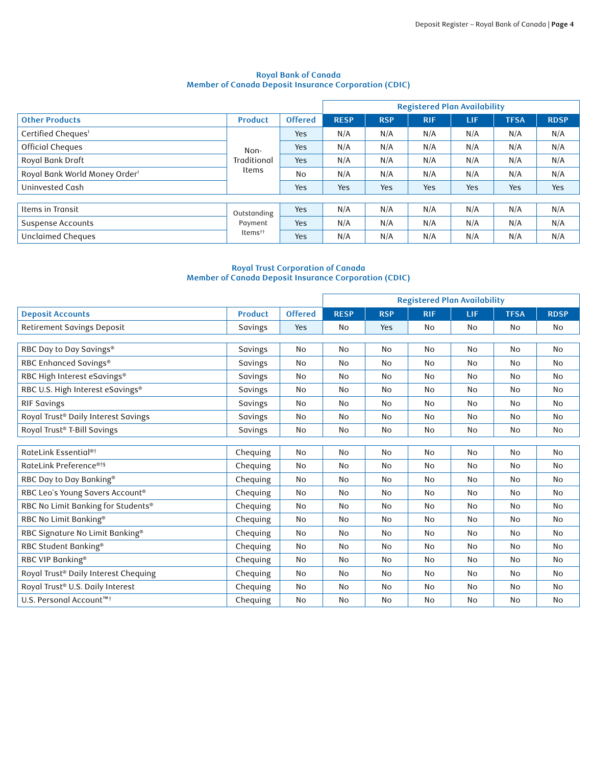#### **Royal Bank of Canada Member of Canada Deposit Insurance Corporation (CDIC)**

|                                           |                                     |                | <b>Registered Plan Availability</b> |            |            |     |             |             |
|-------------------------------------------|-------------------------------------|----------------|-------------------------------------|------------|------------|-----|-------------|-------------|
| <b>Other Products</b>                     | <b>Product</b>                      | <b>Offered</b> | <b>RESP</b>                         | <b>RSP</b> | <b>RIF</b> | LIF | <b>TFSA</b> | <b>RDSP</b> |
| Certified Cheques <sup>1</sup>            |                                     | <b>Yes</b>     | N/A                                 | N/A        | N/A        | N/A | N/A         | N/A         |
| Official Cheques                          | Non-<br>Traditional<br>Items        | <b>Yes</b>     | N/A                                 | N/A        | N/A        | N/A | N/A         | N/A         |
| Royal Bank Draft                          |                                     | Yes            | N/A                                 | N/A        | N/A        | N/A | N/A         | N/A         |
| Royal Bank World Money Order <sup>1</sup> |                                     | <b>No</b>      | N/A                                 | N/A        | N/A        | N/A | N/A         | N/A         |
| Uninvested Cash                           |                                     | Yes            | Yes                                 | Yes        | Yes        | Yes | Yes         | Yes         |
|                                           |                                     |                |                                     |            |            |     |             |             |
| Items in Transit                          | Outstanding                         | <b>Yes</b>     | N/A                                 | N/A        | N/A        | N/A | N/A         | N/A         |
| Suspense Accounts                         | Payment<br>$Items^{\dagger\dagger}$ | <b>Yes</b>     | N/A                                 | N/A        | N/A        | N/A | N/A         | N/A         |
| Unclaimed Cheques                         |                                     | <b>Yes</b>     | N/A                                 | N/A        | N/A        | N/A | N/A         | N/A         |

### **Royal Trust Corporation of Canada Member of Canada Deposit Insurance Corporation (CDIC)**

|                                      |                |                | <b>Registered Plan Availability</b> |            |            |           |                |             |
|--------------------------------------|----------------|----------------|-------------------------------------|------------|------------|-----------|----------------|-------------|
| <b>Deposit Accounts</b>              | <b>Product</b> | <b>Offered</b> | <b>RESP</b>                         | <b>RSP</b> | <b>RIF</b> | LIF       | <b>TFSA</b>    | <b>RDSP</b> |
| Retirement Savings Deposit           | Savings        | Yes            | <b>No</b>                           | Yes        | <b>No</b>  | No        | No             | <b>No</b>   |
|                                      |                |                |                                     |            |            |           |                |             |
| RBC Day to Day Savings®              | Savings        | <b>No</b>      | <b>No</b>                           | <b>No</b>  | <b>No</b>  | No        | <b>No</b>      | <b>No</b>   |
| RBC Enhanced Savings®                | Savings        | No             | <b>No</b>                           | No         | <b>No</b>  | No        | No             | No          |
| RBC High Interest eSavings®          | Savings        | <b>No</b>      | No                                  | No         | No         | No        | No             | <b>No</b>   |
| RBC U.S. High Interest eSavings®     | Savings        | No             | No                                  | No         | No         | No        | N <sub>0</sub> | <b>No</b>   |
| <b>RIF Savings</b>                   | Savings        | <b>No</b>      | <b>No</b>                           | <b>No</b>  | <b>No</b>  | No        | <b>No</b>      | <b>No</b>   |
| Royal Trust® Daily Interest Savings  | Savings        | No             | No                                  | No         | No         | No        | No             | No          |
| Royal Trust® T-Bill Savings          | Savings        | <b>No</b>      | No                                  | No         | No         | No        | No             | No          |
|                                      |                |                |                                     |            |            |           |                |             |
| RateLink Essential <sup>®†</sup>     | Chequing       | <b>No</b>      | <b>No</b>                           | <b>No</b>  | <b>No</b>  | <b>No</b> | No             | <b>No</b>   |
| RateLink Preference® <sup>†§</sup>   | Chequing       | <b>No</b>      | <b>No</b>                           | No         | No         | No        | No             | <b>No</b>   |
| RBC Day to Day Banking®              | Chequing       | No             | <b>No</b>                           | No         | No         | No        | <b>No</b>      | <b>No</b>   |
| RBC Leo's Young Savers Account®      | Chequing       | No             | <b>No</b>                           | No         | No         | No        | No             | <b>No</b>   |
| RBC No Limit Banking for Students®   | Chequing       | No             | No                                  | No         | No         | No        | No             | <b>No</b>   |
| RBC No Limit Banking®                | Chequing       | <b>No</b>      | <b>No</b>                           | No         | No         | No        | No             | <b>No</b>   |
| RBC Signature No Limit Banking®      | Chequing       | <b>No</b>      | <b>No</b>                           | No         | No         | No        | No             | <b>No</b>   |
| RBC Student Banking®                 | Chequing       | No             | <b>No</b>                           | No         | No         | No        | No             | <b>No</b>   |
| RBC VIP Banking®                     | Chequing       | No             | <b>No</b>                           | No         | No         | No        | No             | No          |
| Royal Trust® Daily Interest Chequing | Chequing       | No             | No                                  | No         | No         | No        | No             | No          |
| Royal Trust® U.S. Daily Interest     | Chequing       | <b>No</b>      | <b>No</b>                           | No         | No         | No        | No             | <b>No</b>   |
| U.S. Personal Account™ <sup>+</sup>  | Chequing       | <b>No</b>      | <b>No</b>                           | No         | <b>No</b>  | No        | No             | <b>No</b>   |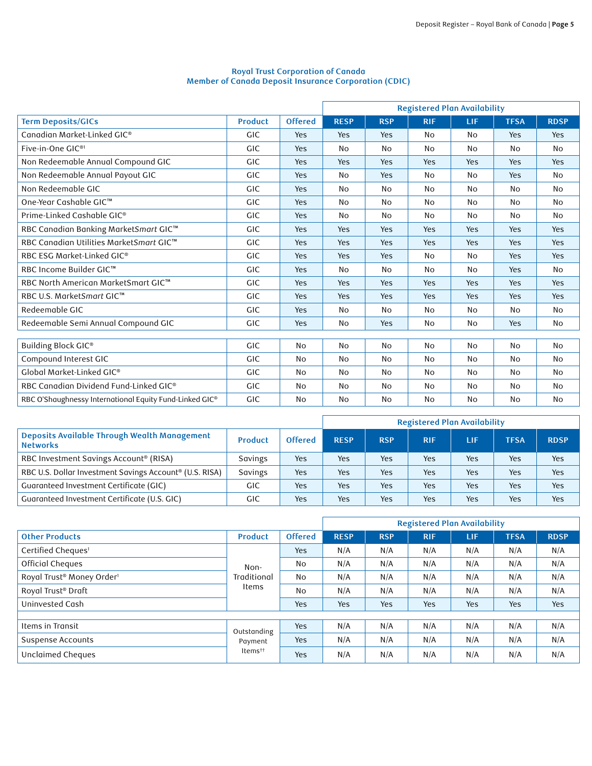# **Royal Trust Corporation of Canada Member of Canada Deposit Insurance Corporation (CDIC)**

|                                                         |                |                | <b>Registered Plan Availability</b> |            |            |            |                |             |
|---------------------------------------------------------|----------------|----------------|-------------------------------------|------------|------------|------------|----------------|-------------|
| <b>Term Deposits/GICs</b>                               | <b>Product</b> | <b>Offered</b> | <b>RESP</b>                         | <b>RSP</b> | <b>RIF</b> | LIF        | <b>TFSA</b>    | <b>RDSP</b> |
| Canadian Market-Linked GIC®                             | <b>GIC</b>     | Yes            | Yes                                 | Yes        | No         | No         | Yes            | Yes         |
| Five-in-One GIC <sup>®1</sup>                           | <b>GIC</b>     | Yes            | <b>No</b>                           | No         | No         | No         | No             | <b>No</b>   |
| Non Redeemable Annual Compound GIC                      | <b>GIC</b>     | Yes            | Yes                                 | Yes        | Yes        | Yes        | Yes            | Yes         |
| Non Redeemable Annual Payout GIC                        | <b>GIC</b>     | Yes            | <b>No</b>                           | Yes        | No         | No         | Yes            | <b>No</b>   |
| Non Redeemable GIC                                      | <b>GIC</b>     | Yes            | No                                  | No         | No         | No         | No             | <b>No</b>   |
| One-Year Cashable GIC™                                  | <b>GIC</b>     | Yes            | <b>No</b>                           | <b>No</b>  | <b>No</b>  | No         | N <sub>0</sub> | No          |
| Prime-Linked Cashable GIC®                              | <b>GIC</b>     | Yes            | <b>No</b>                           | <b>No</b>  | No         | No         | <b>No</b>      | <b>No</b>   |
| RBC Canadian Banking MarketSmart GIC™                   | <b>GIC</b>     | Yes            | Yes                                 | Yes        | Yes        | Yes        | Yes            | Yes         |
| RBC Canadian Utilities MarketSmart GIC™                 | <b>GIC</b>     | Yes            | Yes                                 | Yes        | Yes        | Yes        | Yes            | Yes         |
| RBC ESG Market-Linked GIC®                              | GIC            | Yes            | Yes                                 | Yes        | No         | No         | Yes            | Yes         |
| RBC Income Builder GIC™                                 | <b>GIC</b>     | Yes            | <b>No</b>                           | <b>No</b>  | No         | No         | Yes            | <b>No</b>   |
| RBC North American MarketSmart GIC™                     | GIC            | Yes            | Yes                                 | Yes        | Yes        | <b>Yes</b> | Yes            | Yes         |
| RBC U.S. MarketSmart GIC™                               | <b>GIC</b>     | Yes            | Yes                                 | Yes        | Yes        | Yes        | Yes            | Yes         |
| Redeemable GIC                                          | <b>GIC</b>     | Yes            | No                                  | No         | No         | No         | No             | No          |
| Redeemable Semi Annual Compound GIC                     | <b>GIC</b>     | Yes            | No                                  | Yes        | <b>No</b>  | No         | Yes            | No          |
|                                                         |                |                |                                     |            |            |            |                |             |
| Building Block GIC®                                     | <b>GIC</b>     | <b>No</b>      | <b>No</b>                           | <b>No</b>  | <b>No</b>  | <b>No</b>  | No             | <b>No</b>   |
| Compound Interest GIC                                   | <b>GIC</b>     | <b>No</b>      | <b>No</b>                           | No         | No         | No         | No             | <b>No</b>   |
| Global Market-Linked GIC®                               | <b>GIC</b>     | <b>No</b>      | <b>No</b>                           | <b>No</b>  | No         | No         | No             | <b>No</b>   |
| RBC Canadian Dividend Fund-Linked GIC®                  | <b>GIC</b>     | <b>No</b>      | <b>No</b>                           | No         | <b>No</b>  | No         | No             | <b>No</b>   |
| RBC O'Shaughnessy International Equity Fund-Linked GIC® | <b>GIC</b>     | <b>No</b>      | No                                  | <b>No</b>  | <b>No</b>  | No         | No             | No          |

|                                                                     |                |                | <b>Registered Plan Availability</b> |            |            |     |             |             |
|---------------------------------------------------------------------|----------------|----------------|-------------------------------------|------------|------------|-----|-------------|-------------|
| Deposits Available Through Wealth Management<br><b>Networks</b>     | <b>Product</b> | <b>Offered</b> | <b>RESP</b>                         | <b>RSP</b> | <b>RIF</b> | LIF | <b>TFSA</b> | <b>RDSP</b> |
| RBC Investment Savings Account® (RISA)                              | Savings        | Yes            | Yes                                 | Yes        | Yes        | Yes | Yes         | Yes         |
| RBC U.S. Dollar Investment Savings Account <sup>®</sup> (U.S. RISA) | Savings        | Yes            | Yes                                 | Yes        | Yes        | Yes | Yes         | Yes         |
| Guaranteed Investment Certificate (GIC)                             | GIC            | Yes            | Yes                                 | Yes        | Yes        | Yes | Yes         | Yes         |
| Guaranteed Investment Certificate (U.S. GIC)                        | GIC            | Yes            | Yes                                 | Yes        | Yes        | Yes | Yes         | Yes         |

|                                       |                                     |                | <b>Registered Plan Availability</b> |            |            |            |             |             |
|---------------------------------------|-------------------------------------|----------------|-------------------------------------|------------|------------|------------|-------------|-------------|
| <b>Other Products</b>                 | Product                             | <b>Offered</b> | <b>RESP</b>                         | <b>RSP</b> | <b>RIF</b> | <b>LIF</b> | <b>TFSA</b> | <b>RDSP</b> |
| Certified Cheques <sup>1</sup>        |                                     | Yes            | N/A                                 | N/A        | N/A        | N/A        | N/A         | N/A         |
| Official Cheques                      | Non-<br>Traditional                 | No             | N/A                                 | N/A        | N/A        | N/A        | N/A         | N/A         |
| Royal Trust® Money Order <sup>1</sup> |                                     | No             | N/A                                 | N/A        | N/A        | N/A        | N/A         | N/A         |
| Royal Trust® Draft                    | Items                               | <b>No</b>      | N/A                                 | N/A        | N/A        | N/A        | N/A         | N/A         |
| Uninvested Cash                       |                                     | Yes            | Yes                                 | Yes        | Yes        | Yes        | Yes         | Yes         |
|                                       |                                     |                |                                     |            |            |            |             |             |
| Items in Transit                      | Outstanding                         | <b>Yes</b>     | N/A                                 | N/A        | N/A        | N/A        | N/A         | N/A         |
| Suspense Accounts                     | Payment<br>$Items^{\dagger\dagger}$ | Yes            | N/A                                 | N/A        | N/A        | N/A        | N/A         | N/A         |
| Unclaimed Cheques                     |                                     | Yes            | N/A                                 | N/A        | N/A        | N/A        | N/A         | N/A         |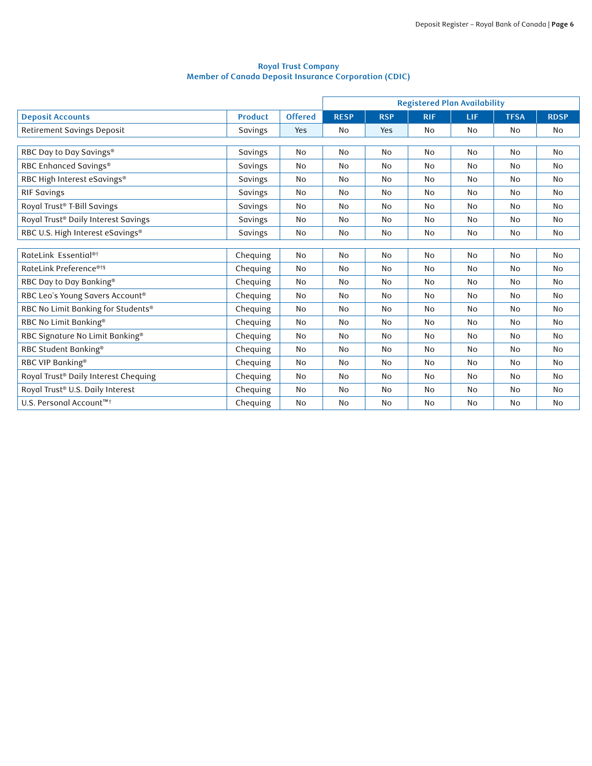#### **Royal Trust Company Member of Canada Deposit Insurance Corporation (CDIC)**

|                                      |                |                |             |            | <b>Registered Plan Availability</b> |           |             |             |  |
|--------------------------------------|----------------|----------------|-------------|------------|-------------------------------------|-----------|-------------|-------------|--|
| <b>Deposit Accounts</b>              | <b>Product</b> | <b>Offered</b> | <b>RESP</b> | <b>RSP</b> | <b>RIF</b>                          | LIF       | <b>TFSA</b> | <b>RDSP</b> |  |
| Retirement Savings Deposit           | Savings        | Yes            | No          | Yes        | No                                  | No        | No          | No          |  |
|                                      |                |                |             |            |                                     |           |             |             |  |
| RBC Day to Day Savings®              | Savings        | No             | No          | <b>No</b>  | No                                  | No        | No          | <b>No</b>   |  |
| RBC Enhanced Savings®                | Savings        | No             | No          | <b>No</b>  | <b>No</b>                           | No        | No          | <b>No</b>   |  |
| RBC High Interest eSavings®          | Savings        | <b>No</b>      | No          | <b>No</b>  | <b>No</b>                           | No        | No          | <b>No</b>   |  |
| <b>RIF Savings</b>                   | Savings        | No             | No          | No         | No                                  | No        | No          | <b>No</b>   |  |
| Royal Trust® T-Bill Savings          | Savings        | No             | No          | No         | No                                  | No        | No          | No          |  |
| Royal Trust® Daily Interest Savings  | Savings        | No             | No          | No         | No                                  | No        | No          | <b>No</b>   |  |
| RBC U.S. High Interest eSavings®     | Savings        | No             | No          | No         | No                                  | No        | No          | No          |  |
|                                      |                |                |             |            |                                     |           |             |             |  |
| RateLink Essential <sup>®†</sup>     | Chequing       | <b>No</b>      | <b>No</b>   | <b>No</b>  | No                                  | <b>No</b> | No          | <b>No</b>   |  |
| RateLink Preference <sup>®†§</sup>   | Chequing       | No             | No          | No         | No                                  | No        | No          | No          |  |
| RBC Day to Day Banking®              | Chequing       | No             | No          | No         | No                                  | No        | No          | <b>No</b>   |  |
| RBC Leo's Young Savers Account®      | Chequing       | No             | No          | No         | No                                  | No        | No          | <b>No</b>   |  |
| RBC No Limit Banking for Students®   | Chequing       | No             | No          | <b>No</b>  | No                                  | No        | No          | <b>No</b>   |  |
| RBC No Limit Banking®                | Chequing       | <b>No</b>      | No          | <b>No</b>  | <b>No</b>                           | No        | <b>No</b>   | <b>No</b>   |  |
| RBC Signature No Limit Banking®      | Chequing       | No             | No          | <b>No</b>  | <b>No</b>                           | No        | <b>No</b>   | <b>No</b>   |  |
| RBC Student Banking®                 | Chequing       | No             | No          | No         | No                                  | No        | No          | No          |  |
| RBC VIP Banking®                     | Chequing       | No             | No          | No         | No                                  | No        | No          | <b>No</b>   |  |
| Royal Trust® Daily Interest Chequing | Chequing       | <b>No</b>      | No          | No         | <b>No</b>                           | No        | No          | <b>No</b>   |  |
| Royal Trust® U.S. Daily Interest     | Chequing       | No             | No          | No         | No                                  | No        | No          | No          |  |
| U.S. Personal Account™ <sup>†</sup>  | Chequing       | No             | No          | No         | <b>No</b>                           | No        | No          | <b>No</b>   |  |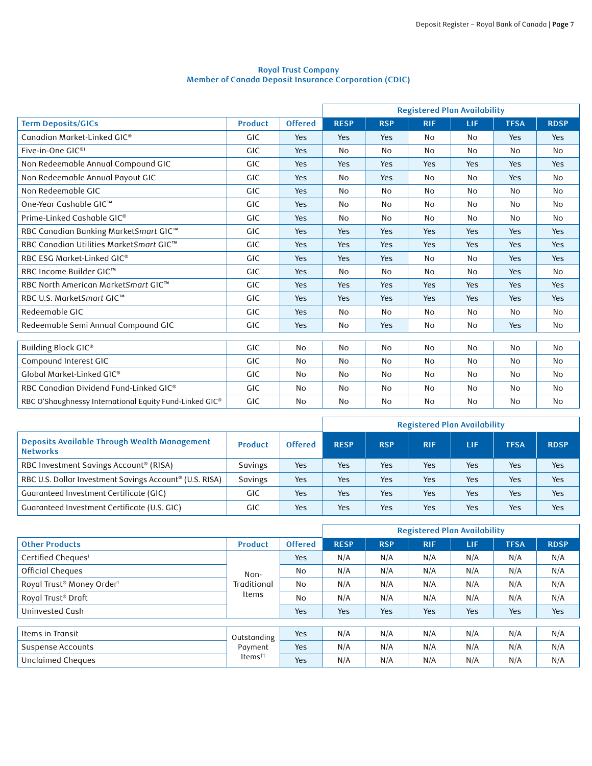#### **Royal Trust Company Member of Canada Deposit Insurance Corporation (CDIC)**

|                                                         |                |                | <b>Registered Plan Availability</b> |            |            |                |             |             |
|---------------------------------------------------------|----------------|----------------|-------------------------------------|------------|------------|----------------|-------------|-------------|
| <b>Term Deposits/GICs</b>                               | <b>Product</b> | <b>Offered</b> | <b>RESP</b>                         | <b>RSP</b> | <b>RIF</b> | LIF            | <b>TFSA</b> | <b>RDSP</b> |
| Canadian Market-Linked GIC®                             | <b>GIC</b>     | Yes            | Yes                                 | Yes        | No         | N <sub>o</sub> | Yes         | <b>Yes</b>  |
| Five-in-One GIC <sup>®1</sup>                           | <b>GIC</b>     | Yes            | No                                  | No         | No         | No             | No          | <b>No</b>   |
| Non Redeemable Annual Compound GIC                      | <b>GIC</b>     | Yes            | Yes                                 | Yes        | Yes        | Yes            | Yes         | Yes         |
| Non Redeemable Annual Payout GIC                        | <b>GIC</b>     | Yes            | No                                  | Yes        | No         | No             | Yes         | No          |
| Non Redeemable GIC                                      | <b>GIC</b>     | Yes            | No                                  | <b>No</b>  | <b>No</b>  | No             | No          | <b>No</b>   |
| One-Year Cashable GIC™                                  | <b>GIC</b>     | Yes            | No                                  | <b>No</b>  | No         | No             | No          | No          |
| Prime-Linked Cashable GIC <sup>®</sup>                  | <b>GIC</b>     | Yes            | <b>No</b>                           | <b>No</b>  | No         | No             | No          | <b>No</b>   |
| RBC Canadian Banking MarketSmart GIC™                   | <b>GIC</b>     | Yes            | Yes                                 | Yes        | Yes        | Yes            | Yes         | Yes         |
| RBC Canadian Utilities MarketSmart GIC™                 | <b>GIC</b>     | Yes            | Yes                                 | Yes        | Yes        | Yes            | Yes         | Yes         |
| RBC ESG Market-Linked GIC®                              | <b>GIC</b>     | Yes            | Yes                                 | Yes        | No         | No             | Yes         | Yes         |
| RBC Income Builder GIC™                                 | <b>GIC</b>     | Yes            | No                                  | No         | No         | No             | Yes         | <b>No</b>   |
| RBC North American MarketSmart GIC™                     | <b>GIC</b>     | Yes            | Yes                                 | Yes        | Yes        | Yes            | Yes         | Yes         |
| RBC U.S. MarketSmart GIC™                               | <b>GIC</b>     | Yes            | Yes                                 | Yes        | Yes        | Yes            | Yes         | Yes         |
| Redeemable GIC                                          | <b>GIC</b>     | Yes            | No                                  | <b>No</b>  | No         | No             | No          | <b>No</b>   |
| Redeemable Semi Annual Compound GIC                     | <b>GIC</b>     | Yes            | No                                  | Yes        | No         | No             | Yes         | <b>No</b>   |
|                                                         |                |                |                                     |            |            |                |             |             |
| Building Block GIC®                                     | <b>GIC</b>     | <b>No</b>      | No                                  | <b>No</b>  | No         | <b>No</b>      | <b>No</b>   | <b>No</b>   |
| Compound Interest GIC                                   | <b>GIC</b>     | No             | <b>No</b>                           | No         | No         | No             | No          | <b>No</b>   |
| Global Market-Linked GIC®                               | <b>GIC</b>     | <b>No</b>      | No                                  | <b>No</b>  | No         | No             | <b>No</b>   | <b>No</b>   |
| RBC Canadian Dividend Fund-Linked GIC®                  | <b>GIC</b>     | <b>No</b>      | No                                  | <b>No</b>  | No         | No             | No          | <b>No</b>   |
| RBC O'Shaughnessy International Equity Fund-Linked GIC® | <b>GIC</b>     | <b>No</b>      | No                                  | <b>No</b>  | <b>No</b>  | No             | No          | <b>No</b>   |

|                                                                     |            |                | <b>Registered Plan Availability</b> |            |            |     |             |             |
|---------------------------------------------------------------------|------------|----------------|-------------------------------------|------------|------------|-----|-------------|-------------|
| Deposits Available Through Wealth Management<br><b>Networks</b>     | Product    | <b>Offered</b> | <b>RESP</b>                         | <b>RSP</b> | <b>RIF</b> | LIF | <b>TFSA</b> | <b>RDSP</b> |
| RBC Investment Savings Account <sup>®</sup> (RISA)                  | Savings    | Yes            | Yes                                 | Yes        | Yes        | Yes | Yes         | Yes         |
| RBC U.S. Dollar Investment Savings Account <sup>®</sup> (U.S. RISA) | Savings    | Yes            | Yes                                 | Yes        | Yes        | Yes | Yes         | Yes         |
| Guaranteed Investment Certificate (GIC)                             | <b>GIC</b> | Yes            | Yes                                 | Yes        | Yes        | Yes | Yes         | Yes         |
| Guaranteed Investment Certificate (U.S. GIC)                        | GIC        | Yes            | Yes                                 | Yes        | Yes        | Yes | Yes         | Yes         |

|                                       |                                               |                | <b>Registered Plan Availability</b> |            |            |            |             |             |
|---------------------------------------|-----------------------------------------------|----------------|-------------------------------------|------------|------------|------------|-------------|-------------|
| <b>Other Products</b>                 | <b>Product</b>                                | <b>Offered</b> | <b>RESP</b>                         | <b>RSP</b> | <b>RIF</b> | <b>LIF</b> | <b>TFSA</b> | <b>RDSP</b> |
| Certified Cheques <sup>1</sup>        | Non-<br>Traditional<br>Items                  | Yes            | N/A                                 | N/A        | N/A        | N/A        | N/A         | N/A         |
| Official Cheques                      |                                               | No             | N/A                                 | N/A        | N/A        | N/A        | N/A         | N/A         |
| Royal Trust® Money Order <sup>1</sup> |                                               | No             | N/A                                 | N/A        | N/A        | N/A        | N/A         | N/A         |
| Royal Trust® Draft                    |                                               | <b>No</b>      | N/A                                 | N/A        | N/A        | N/A        | N/A         | N/A         |
| Uninvested Cash                       |                                               | Yes            | Yes                                 | Yes        | Yes        | Yes        | Yes         | Yes         |
|                                       |                                               |                |                                     |            |            |            |             |             |
| Items in Transit                      | Outstanding<br>Payment<br>Items <sup>††</sup> | Yes            | N/A                                 | N/A        | N/A        | N/A        | N/A         | N/A         |
| Suspense Accounts                     |                                               | Yes            | N/A                                 | N/A        | N/A        | N/A        | N/A         | N/A         |
| Unclaimed Cheques                     |                                               | Yes            | N/A                                 | N/A        | N/A        | N/A        | N/A         | N/A         |